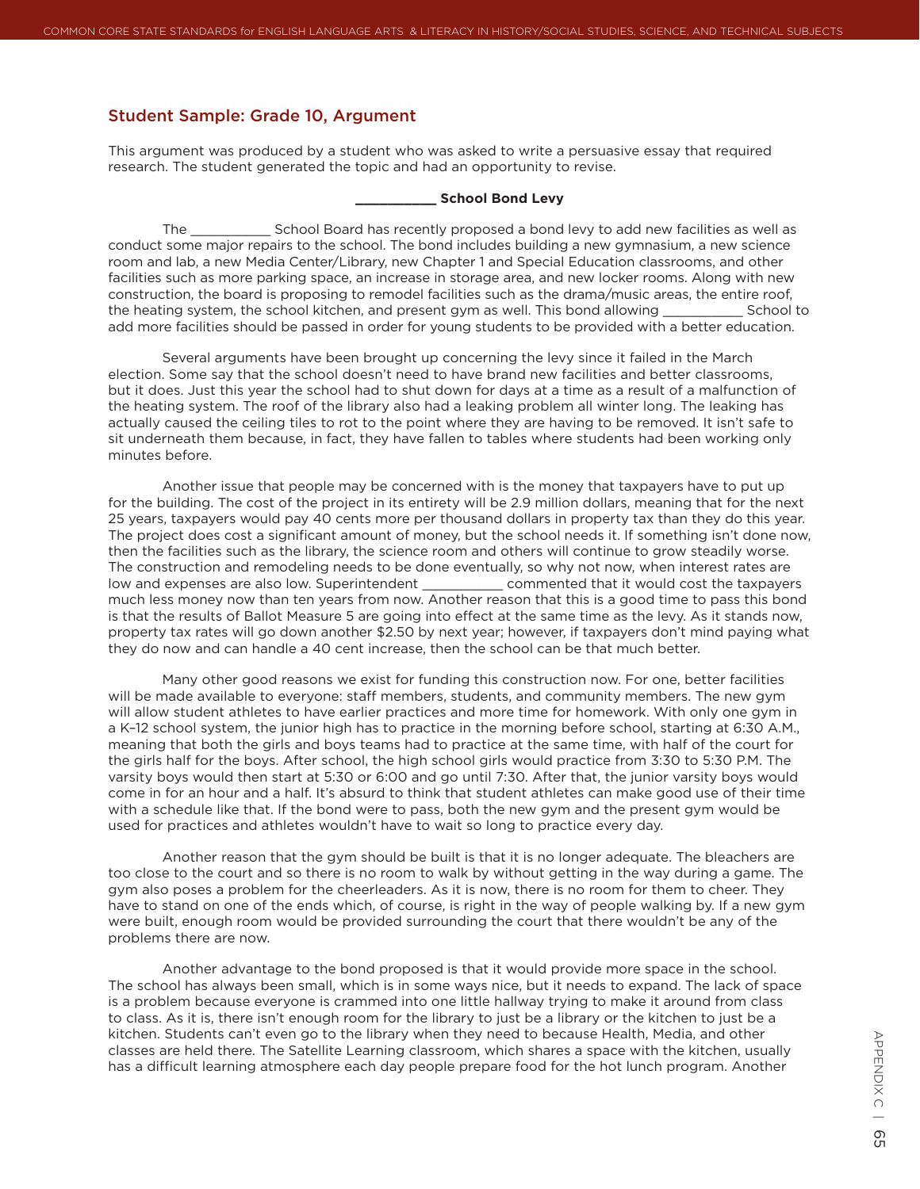## Student Sample: Grade 10, Argument

This argument was produced by a student who was asked to write a persuasive essay that required research. The student generated the topic and had an opportunity to revise.

## **\_\_\_\_\_\_\_\_\_\_ School Bond Levy**

The School Board has recently proposed a bond levy to add new facilities as well as conduct some major repairs to the school. The bond includes building a new gymnasium, a new science room and lab, a new Media Center/Library, new Chapter 1 and Special Education classrooms, and other facilities such as more parking space, an increase in storage area, and new locker rooms. Along with new construction, the board is proposing to remodel facilities such as the drama/music areas, the entire roof, the heating system, the school kitchen, and present gym as well. This bond allowing School to add more facilities should be passed in order for young students to be provided with a better education.

Several arguments have been brought up concerning the levy since it failed in the March election. Some say that the school doesn't need to have brand new facilities and better classrooms, but it does. Just this year the school had to shut down for days at a time as a result of a malfunction of the heating system. The roof of the library also had a leaking problem all winter long. The leaking has actually caused the ceiling tiles to rot to the point where they are having to be removed. It isn't safe to sit underneath them because, in fact, they have fallen to tables where students had been working only minutes before.

Another issue that people may be concerned with is the money that taxpayers have to put up for the building. The cost of the project in its entirety will be 2.9 million dollars, meaning that for the next 25 years, taxpayers would pay 40 cents more per thousand dollars in property tax than they do this year. The project does cost a significant amount of money, but the school needs it. If something isn't done now, then the facilities such as the library, the science room and others will continue to grow steadily worse. The construction and remodeling needs to be done eventually, so why not now, when interest rates are low and expenses are also low. Superintendent \_\_\_\_\_\_\_\_\_\_\_\_\_\_\_\_\_\_\_ commented that it would cost the taxpayer commented that it would cost the taxpayers much less money now than ten years from now. Another reason that this is a good time to pass this bond is that the results of Ballot Measure 5 are going into effect at the same time as the levy. As it stands now, property tax rates will go down another \$2.50 by next year; however, if taxpayers don't mind paying what they do now and can handle a 40 cent increase, then the school can be that much better.

Many other good reasons we exist for funding this construction now. For one, better facilities will be made available to everyone: staff members, students, and community members. The new gym will allow student athletes to have earlier practices and more time for homework. With only one gym in a K–12 school system, the junior high has to practice in the morning before school, starting at 6:30 A.M., meaning that both the girls and boys teams had to practice at the same time, with half of the court for the girls half for the boys. After school, the high school girls would practice from 3:30 to 5:30 P.M. The varsity boys would then start at 5:30 or 6:00 and go until 7:30. After that, the junior varsity boys would come in for an hour and a half. It's absurd to think that student athletes can make good use of their time with a schedule like that. If the bond were to pass, both the new gym and the present gym would be used for practices and athletes wouldn't have to wait so long to practice every day.

Another reason that the gym should be built is that it is no longer adequate. The bleachers are too close to the court and so there is no room to walk by without getting in the way during a game. The gym also poses a problem for the cheerleaders. As it is now, there is no room for them to cheer. They have to stand on one of the ends which, of course, is right in the way of people walking by. If a new gym were built, enough room would be provided surrounding the court that there wouldn't be any of the problems there are now.

Another advantage to the bond proposed is that it would provide more space in the school. The school has always been small, which is in some ways nice, but it needs to expand. The lack of space is a problem because everyone is crammed into one little hallway trying to make it around from class to class. As it is, there isn't enough room for the library to just be a library or the kitchen to just be a kitchen. Students can't even go to the library when they need to because Health, Media, and other classes are held there. The Satellite Learning classroom, which shares a space with the kitchen, usually has a difficult learning atmosphere each day people prepare food for the hot lunch program. Another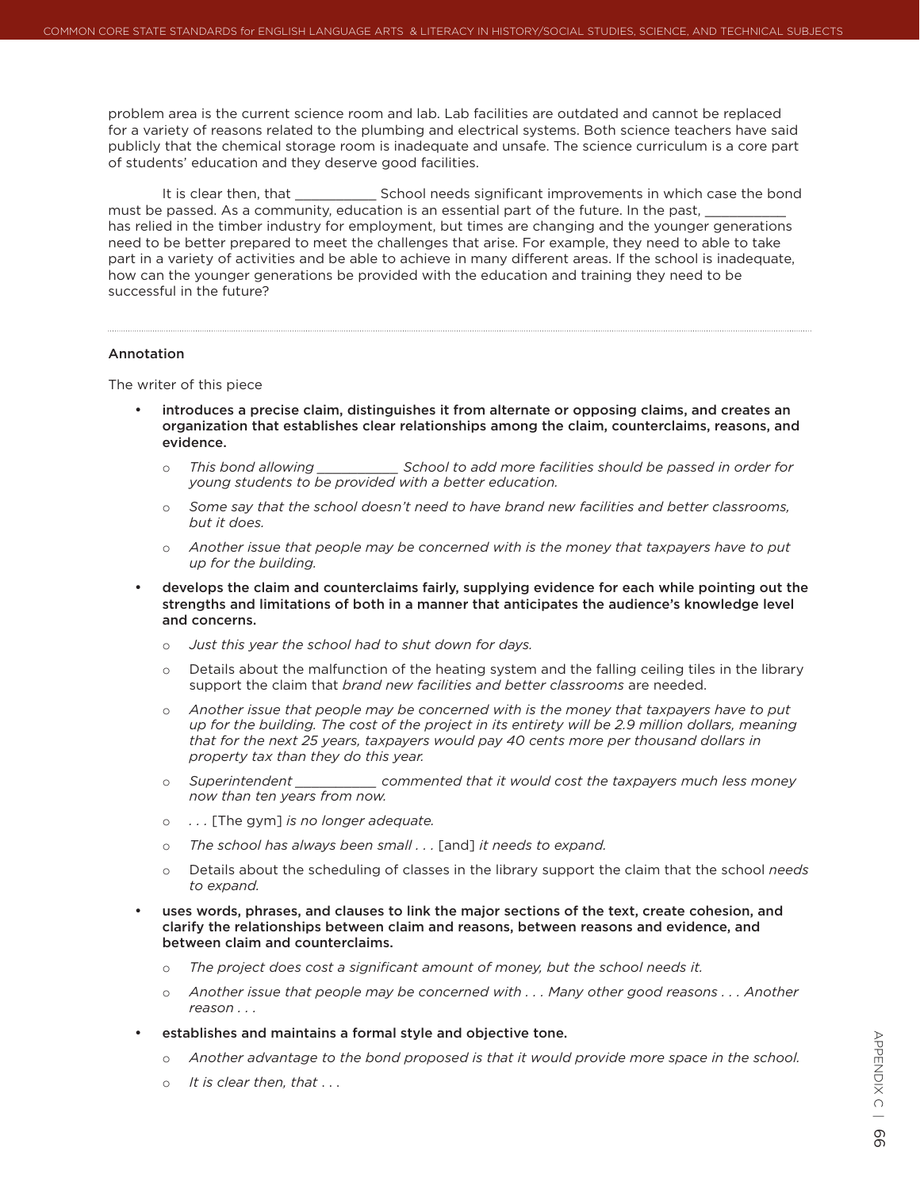problem area is the current science room and lab. Lab facilities are outdated and cannot be replaced for a variety of reasons related to the plumbing and electrical systems. Both science teachers have said publicly that the chemical storage room is inadequate and unsafe. The science curriculum is a core part of students' education and they deserve good facilities.

It is clear then, that That School needs significant improvements in which case the bond must be passed. As a community, education is an essential part of the future. In the past, has relied in the timber industry for employment, but times are changing and the younger generations need to be better prepared to meet the challenges that arise. For example, they need to able to take part in a variety of activities and be able to achieve in many different areas. If the school is inadequate, how can the younger generations be provided with the education and training they need to be successful in the future?

## Annotation

The writer of this piece

- introduces a precise claim, distinguishes it from alternate or opposing claims, and creates an organization that establishes clear relationships among the claim, counterclaims, reasons, and evidence.
	- $\circ$  This bond allowing School to add more facilities should be passed in order for *young students to be provided with a better education.*
	- $\circ$  Some say that the school doesn't need to have brand new facilities and better classrooms, *but it does.*
	- o *Another issue that people may be concerned with is the money that taxpayers have to put up for the building.*
- develops the claim and counterclaims fairly, supplying evidence for each while pointing out the strengths and limitations of both in a manner that anticipates the audience's knowledge level and concerns.
	- o *Just this year the school had to shut down for days.*
	- $\circ$  Details about the malfunction of the heating system and the falling ceiling tiles in the library support the claim that *brand new facilities and better classrooms* are needed.
	- o *Another issue that people may be concerned with is the money that taxpayers have to put up for the building. The cost of the project in its entirety will be 2.9 million dollars, meaning that for the next 25 years, taxpayers would pay 40 cents more per thousand dollars in property tax than they do this year.*
	- o *Superintendent \_\_\_\_\_\_\_\_\_\_ commented that it would cost the taxpayers much less money now than ten years from now.*
	- o *. . .* [The gym] *is no longer adequate.*
	- o *The school has always been small . . .* [and] *it needs to expand.*
	- o Details about the scheduling of classes in the library support the claim that the school *needs to expand.*
- uses words, phrases, and clauses to link the major sections of the text, create cohesion, and clarify the relationships between claim and reasons, between reasons and evidence, and between claim and counterclaims.
	- o *The project does cost a significant amount of money, but the school needs it.*
	- o *Another issue that people may be concerned with . . . Many other good reasons . . . Another reason . . .*
- establishes and maintains a formal style and objective tone.
	- o Another advantage to the bond proposed is that it would provide more space in the school.
	- o *It is clear then, that* . . .